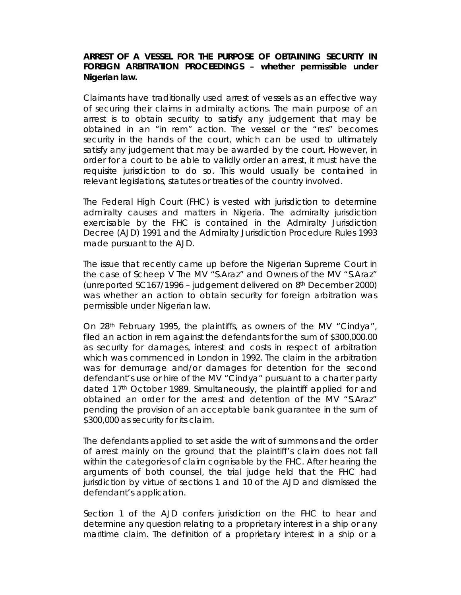**ARREST OF A VESSEL FOR THE PURPOSE OF OBTAINING SECURITY IN FOREIGN ARBITRATION PROCEEDINGS – whether permissible under Nigerian law.**

Claimants have traditionally used arrest of vessels as an effective way of securing their claims in admiralty actions. The main purpose of an arrest is to obtain security to satisfy any judgement that may be obtained in an "in rem" action. The vessel or the "res" becomes security in the hands of the court, which can be used to ultimately satisfy any judgement that may be awarded by the court. However, in order for a court to be able to validly order an arrest, it must have the requisite jurisdiction to do so. This would usually be contained in relevant legislations, statutes or treaties of the country involved.

The Federal High Court (FHC) is vested with jurisdiction to determine admiralty causes and matters in Nigeria. The admiralty jurisdiction exercisable by the FHC is contained in the Admiralty Jurisdiction Decree (AJD) 1991 and the Admiralty Jurisdiction Procedure Rules 1993 made pursuant to the AJD.

The issue that recently came up before the Nigerian Supreme Court in the case of *Scheep V The MV "S.Araz" and Owners of the MV "S.Araz"* (unreported SC167/1996 – judgement delivered on 8th December 2000) was whether an action to obtain security for foreign arbitration was permissible under Nigerian law.

On 28th February 1995, the plaintiffs, as owners of the MV "Cindya", filed an action in rem against the defendants for the sum of \$300,000.00 as security for damages, interest and costs in respect of arbitration which was commenced in London in 1992. The claim in the arbitration was for demurrage and/or damages for detention for the second defendant's use or hire of the MV "Cindya" pursuant to a charter party dated 17th October 1989. Simultaneously, the plaintiff applied for and obtained an order for the arrest and detention of the MV "S.Araz" pending the provision of an acceptable bank guarantee in the sum of \$300,000 as security for its claim.

The defendants applied to set aside the writ of summons and the order of arrest mainly on the ground that the plaintiff's claim does not fall within the categories of claim cognisable by the FHC. After hearing the arguments of both counsel, the trial judge held that the FHC had jurisdiction by virtue of sections 1 and 10 of the AJD and dismissed the defendant's application.

Section 1 of the AJD confers jurisdiction on the FHC to hear and determine any question relating to a proprietary interest in a ship or any maritime claim. The definition of a proprietary interest in a ship or a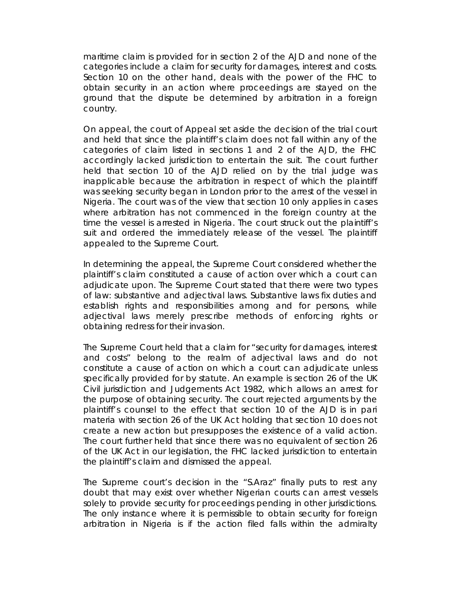maritime claim is provided for in section 2 of the AJD and none of the categories include a claim for security for damages, interest and costs. Section 10 on the other hand, deals with the power of the FHC to obtain security in an action where proceedings are stayed on the ground that the dispute be determined by arbitration in a foreign country.

On appeal, the court of Appeal set aside the decision of the trial court and held that since the plaintiff's claim does not fall within any of the categories of claim listed in sections 1 and 2 of the AJD, the FHC accordingly lacked jurisdiction to entertain the suit. The court further held that section 10 of the AJD relied on by the trial judge was inapplicable because the arbitration in respect of which the plaintiff was seeking security began in London prior to the arrest of the vessel in Nigeria. The court was of the view that section 10 only applies in cases where arbitration has not commenced in the foreign country at the time the vessel is arrested in Nigeria. The court struck out the plaintiff's suit and ordered the immediately release of the vessel. The plaintiff appealed to the Supreme Court.

In determining the appeal, the Supreme Court considered whether the plaintiff's claim constituted a cause of action over which a court can adjudicate upon. The Supreme Court stated that there were two types of law: substantive and adjectival laws. Substantive laws fix duties and establish rights and responsibilities among and for persons, while adjectival laws merely prescribe methods of enforcing rights or obtaining redress for their invasion.

The Supreme Court held that a claim for "security for damages, interest and costs" belong to the realm of adjectival laws and do not constitute a cause of action on which a court can adjudicate unless specifically provided for by statute. An example is section 26 of the UK Civil jurisdiction and Judgements Act 1982, which allows an arrest for the purpose of obtaining security. The court rejected arguments by the plaintiff's counsel to the effect that section 10 of the AJD is in *pari materia* with section 26 of the UK Act holding that section 10 does not create a new action but presupposes the existence of a valid action. The court further held that since there was no equivalent of section 26 of the UK Act in our legislation, the FHC lacked jurisdiction to entertain the plaintiff's claim and dismissed the appeal.

The Supreme court's decision in the "S.Araz" finally puts to rest any doubt that may exist over whether Nigerian courts can arrest vessels solely to provide security for proceedings pending in other jurisdictions. The only instance where it is permissible to obtain security for foreign arbitration in Nigeria is if the action filed falls within the admiralty